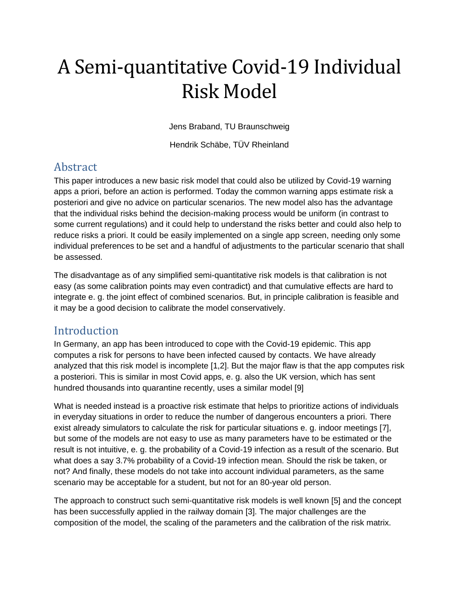# A Semi-quantitative Covid-19 Individual Risk Model

Jens Braband, TU Braunschweig

Hendrik Schäbe, TÜV Rheinland

# **Abstract**

This paper introduces a new basic risk model that could also be utilized by Covid-19 warning apps a priori, before an action is performed. Today the common warning apps estimate risk a posteriori and give no advice on particular scenarios. The new model also has the advantage that the individual risks behind the decision-making process would be uniform (in contrast to some current regulations) and it could help to understand the risks better and could also help to reduce risks a priori. It could be easily implemented on a single app screen, needing only some individual preferences to be set and a handful of adjustments to the particular scenario that shall be assessed.

The disadvantage as of any simplified semi-quantitative risk models is that calibration is not easy (as some calibration points may even contradict) and that cumulative effects are hard to integrate e. g. the joint effect of combined scenarios. But, in principle calibration is feasible and it may be a good decision to calibrate the model conservatively.

## Introduction

In Germany, an app has been introduced to cope with the Covid-19 epidemic. This app computes a risk for persons to have been infected caused by contacts. We have already analyzed that this risk model is incomplete [1,2]. But the major flaw is that the app computes risk a posteriori. This is similar in most Covid apps, e. g. also the UK version, which has sent hundred thousands into quarantine recently, uses a similar model [9]

What is needed instead is a proactive risk estimate that helps to prioritize actions of individuals in everyday situations in order to reduce the number of dangerous encounters a priori. There exist already simulators to calculate the risk for particular situations e. g. indoor meetings [7], but some of the models are not easy to use as many parameters have to be estimated or the result is not intuitive, e. g. the probability of a Covid-19 infection as a result of the scenario. But what does a say 3.7% probability of a Covid-19 infection mean. Should the risk be taken, or not? And finally, these models do not take into account individual parameters, as the same scenario may be acceptable for a student, but not for an 80-year old person.

The approach to construct such semi-quantitative risk models is well known [5] and the concept has been successfully applied in the railway domain [3]. The major challenges are the composition of the model, the scaling of the parameters and the calibration of the risk matrix.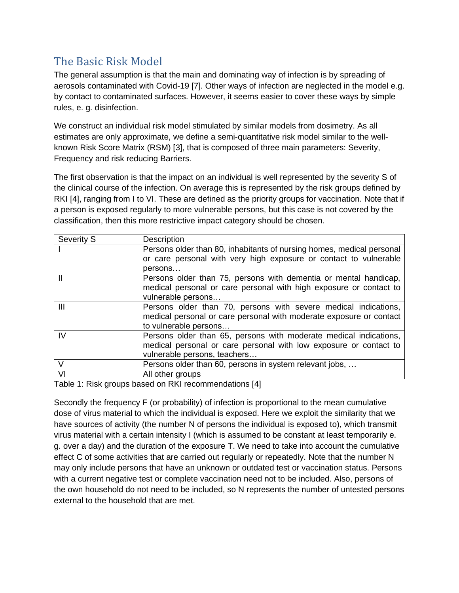# The Basic Risk Model

The general assumption is that the main and dominating way of infection is by spreading of aerosols contaminated with Covid-19 [7]. Other ways of infection are neglected in the model e.g. by contact to contaminated surfaces. However, it seems easier to cover these ways by simple rules, e. g. disinfection.

We construct an individual risk model stimulated by similar models from dosimetry. As all estimates are only approximate, we define a semi-quantitative risk model similar to the wellknown Risk Score Matrix (RSM) [3], that is composed of three main parameters: Severity, Frequency and risk reducing Barriers.

The first observation is that the impact on an individual is well represented by the severity S of the clinical course of the infection. On average this is represented by the risk groups defined by RKI [4], ranging from I to VI. These are defined as the priority groups for vaccination. Note that if a person is exposed regularly to more vulnerable persons, but this case is not covered by the classification, then this more restrictive impact category should be chosen.

| Severity S | Description                                                           |
|------------|-----------------------------------------------------------------------|
|            | Persons older than 80, inhabitants of nursing homes, medical personal |
|            | or care personal with very high exposure or contact to vulnerable     |
|            | persons                                                               |
| Ш          | Persons older than 75, persons with dementia or mental handicap,      |
|            | medical personal or care personal with high exposure or contact to    |
|            | vulnerable persons                                                    |
| III        | Persons older than 70, persons with severe medical indications,       |
|            | medical personal or care personal with moderate exposure or contact   |
|            | to vulnerable persons                                                 |
| IV         | Persons older than 65, persons with moderate medical indications,     |
|            | medical personal or care personal with low exposure or contact to     |
|            | vulnerable persons, teachers                                          |
| V          | Persons older than 60, persons in system relevant jobs,               |
| VI         | All other groups                                                      |
|            | $\cdots$<br>.                                                         |

Table 1: Risk groups based on RKI recommendations [4]

Secondly the frequency F (or probability) of infection is proportional to the mean cumulative dose of virus material to which the individual is exposed. Here we exploit the similarity that we have sources of activity (the number N of persons the individual is exposed to), which transmit virus material with a certain intensity I (which is assumed to be constant at least temporarily e. g. over a day) and the duration of the exposure T. We need to take into account the cumulative effect C of some activities that are carried out regularly or repeatedly. Note that the number N may only include persons that have an unknown or outdated test or vaccination status. Persons with a current negative test or complete vaccination need not to be included. Also, persons of the own household do not need to be included, so N represents the number of untested persons external to the household that are met.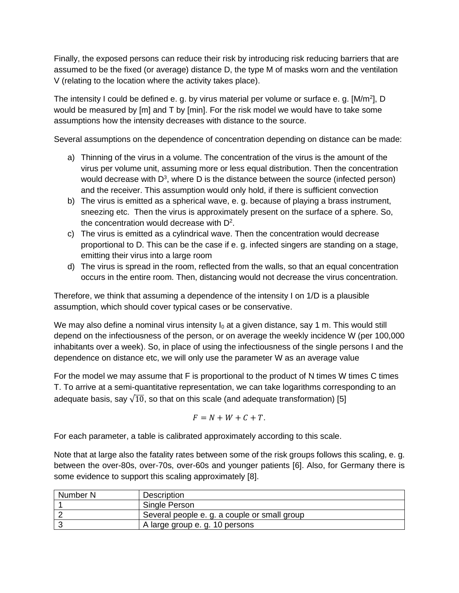Finally, the exposed persons can reduce their risk by introducing risk reducing barriers that are assumed to be the fixed (or average) distance D, the type M of masks worn and the ventilation V (relating to the location where the activity takes place).

The intensity I could be defined e. g. by virus material per volume or surface e. g. [M/m<sup>2</sup>], D would be measured by [m] and T by [min]. For the risk model we would have to take some assumptions how the intensity decreases with distance to the source.

Several assumptions on the dependence of concentration depending on distance can be made:

- a) Thinning of the virus in a volume. The concentration of the virus is the amount of the virus per volume unit, assuming more or less equal distribution. Then the concentration would decrease with  $D^3$ , where D is the distance between the source (infected person) and the receiver. This assumption would only hold, if there is sufficient convection
- b) The virus is emitted as a spherical wave, e. g. because of playing a brass instrument, sneezing etc. Then the virus is approximately present on the surface of a sphere. So, the concentration would decrease with  $D^2$ .
- c) The virus is emitted as a cylindrical wave. Then the concentration would decrease proportional to D. This can be the case if e. g. infected singers are standing on a stage, emitting their virus into a large room
- d) The virus is spread in the room, reflected from the walls, so that an equal concentration occurs in the entire room. Then, distancing would not decrease the virus concentration.

Therefore, we think that assuming a dependence of the intensity I on 1/D is a plausible assumption, which should cover typical cases or be conservative.

We may also define a nominal virus intensity  $I_0$  at a given distance, say 1 m. This would still depend on the infectiousness of the person, or on average the weekly incidence W (per 100,000 inhabitants over a week). So, in place of using the infectiousness of the single persons I and the dependence on distance etc, we will only use the parameter W as an average value

For the model we may assume that F is proportional to the product of N times W times C times T. To arrive at a semi-quantitative representation, we can take logarithms corresponding to an adequate basis, say  $\sqrt{10}$ , so that on this scale (and adequate transformation) [5]

$$
F = N + W + C + T.
$$

For each parameter, a table is calibrated approximately according to this scale.

Note that at large also the fatality rates between some of the risk groups follows this scaling, e. g. between the over-80s, over-70s, over-60s and younger patients [6]. Also, for Germany there is some evidence to support this scaling approximately [8].

| Number N | Description                                  |
|----------|----------------------------------------------|
|          | Single Person                                |
|          | Several people e. g. a couple or small group |
|          | A large group e. g. 10 persons               |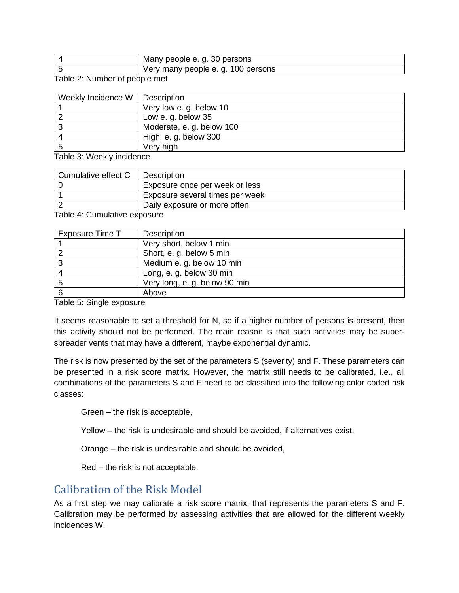| persons<br>Many people e. q.<br>. 30 г |
|----------------------------------------|
| 100 persons<br>Very many people e.g.   |

Table 2: Number of people met

| Weekly Incidence W | Description               |
|--------------------|---------------------------|
|                    | Very low e. g. below 10   |
|                    | Low e. g. below 35        |
| 3                  | Moderate, e. g. below 100 |
| 4                  | High, e. g. below 300     |
| -5                 | Very high                 |
|                    |                           |

Table 3: Weekly incidence

| Cumulative effect C | Description                     |
|---------------------|---------------------------------|
|                     | Exposure once per week or less  |
|                     | Exposure several times per week |
|                     | Daily exposure or more often    |

Table 4: Cumulative exposure

| Exposure Time T | Description                   |
|-----------------|-------------------------------|
|                 | Very short, below 1 min       |
|                 | Short, e. g. below 5 min      |
|                 | Medium e. g. below 10 min     |
|                 | Long, e. g. below 30 min      |
| 5               | Very long, e. g. below 90 min |
|                 | Above                         |

Table 5: Single exposure

It seems reasonable to set a threshold for N, so if a higher number of persons is present, then this activity should not be performed. The main reason is that such activities may be superspreader vents that may have a different, maybe exponential dynamic.

The risk is now presented by the set of the parameters S (severity) and F. These parameters can be presented in a risk score matrix. However, the matrix still needs to be calibrated, i.e., all combinations of the parameters S and F need to be classified into the following color coded risk classes:

Green – the risk is acceptable,

Yellow – the risk is undesirable and should be avoided, if alternatives exist,

Orange – the risk is undesirable and should be avoided,

Red – the risk is not acceptable.

#### Calibration of the Risk Model

As a first step we may calibrate a risk score matrix, that represents the parameters S and F. Calibration may be performed by assessing activities that are allowed for the different weekly incidences W.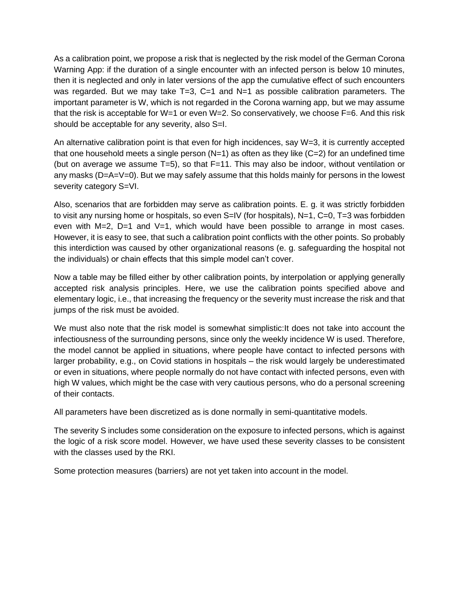As a calibration point, we propose a risk that is neglected by the risk model of the German Corona Warning App: if the duration of a single encounter with an infected person is below 10 minutes, then it is neglected and only in later versions of the app the cumulative effect of such encounters was regarded. But we may take  $T=3$ ,  $C=1$  and  $N=1$  as possible calibration parameters. The important parameter is W, which is not regarded in the Corona warning app, but we may assume that the risk is acceptable for W=1 or even W=2. So conservatively, we choose F=6. And this risk should be acceptable for any severity, also S=I.

An alternative calibration point is that even for high incidences, say W=3, it is currently accepted that one household meets a single person  $(N=1)$  as often as they like  $(C=2)$  for an undefined time (but on average we assume T=5), so that F=11. This may also be indoor, without ventilation or any masks (D=A=V=0). But we may safely assume that this holds mainly for persons in the lowest severity category S=VI.

Also, scenarios that are forbidden may serve as calibration points. E. g. it was strictly forbidden to visit any nursing home or hospitals, so even S=IV (for hospitals), N=1, C=0, T=3 was forbidden even with M=2, D=1 and V=1, which would have been possible to arrange in most cases. However, it is easy to see, that such a calibration point conflicts with the other points. So probably this interdiction was caused by other organizational reasons (e. g. safeguarding the hospital not the individuals) or chain effects that this simple model can't cover.

Now a table may be filled either by other calibration points, by interpolation or applying generally accepted risk analysis principles. Here, we use the calibration points specified above and elementary logic, i.e., that increasing the frequency or the severity must increase the risk and that jumps of the risk must be avoided.

We must also note that the risk model is somewhat simplistic: It does not take into account the infectiousness of the surrounding persons, since only the weekly incidence W is used. Therefore, the model cannot be applied in situations, where people have contact to infected persons with larger probability, e.g., on Covid stations in hospitals – the risk would largely be underestimated or even in situations, where people normally do not have contact with infected persons, even with high W values, which might be the case with very cautious persons, who do a personal screening of their contacts.

All parameters have been discretized as is done normally in semi-quantitative models.

The severity S includes some consideration on the exposure to infected persons, which is against the logic of a risk score model. However, we have used these severity classes to be consistent with the classes used by the RKI.

Some protection measures (barriers) are not yet taken into account in the model.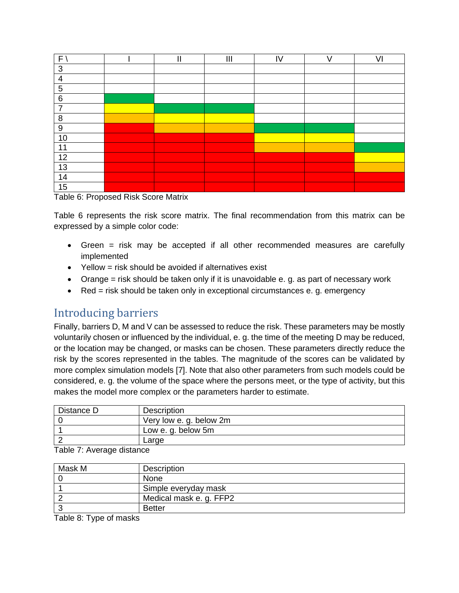| F'              | '' | $\mathbf{III}$ | IV | VI |
|-----------------|----|----------------|----|----|
| 3               |    |                |    |    |
| $\overline{4}$  |    |                |    |    |
| 5               |    |                |    |    |
| $6\phantom{1}6$ |    |                |    |    |
| $\overline{7}$  |    |                |    |    |
| 8               |    |                |    |    |
| 9               |    |                |    |    |
| 10              |    |                |    |    |
| 11              |    |                |    |    |
| 12              |    |                |    |    |
| 13              |    |                |    |    |
| 14              |    |                |    |    |
| 15              |    |                |    |    |

Table 6: Proposed Risk Score Matrix

Table 6 represents the risk score matrix. The final recommendation from this matrix can be expressed by a simple color code:

- Green = risk may be accepted if all other recommended measures are carefully implemented
- Yellow = risk should be avoided if alternatives exist
- Orange = risk should be taken only if it is unavoidable e. g. as part of necessary work
- Red = risk should be taken only in exceptional circumstances e. g. emergency

## Introducing barriers

Finally, barriers D, M and V can be assessed to reduce the risk. These parameters may be mostly voluntarily chosen or influenced by the individual, e. g. the time of the meeting D may be reduced, or the location may be changed, or masks can be chosen. These parameters directly reduce the risk by the scores represented in the tables. The magnitude of the scores can be validated by more complex simulation models [7]. Note that also other parameters from such models could be considered, e. g. the volume of the space where the persons meet, or the type of activity, but this makes the model more complex or the parameters harder to estimate.

| Distance D                                     | Description             |
|------------------------------------------------|-------------------------|
|                                                | Very low e. g. below 2m |
|                                                | Low e. g. below 5m      |
|                                                | Large                   |
| $T - L + T - T$ . As a series of the following |                         |

| Table 7: Average distance |
|---------------------------|
|---------------------------|

| Mask M | Description             |
|--------|-------------------------|
|        | None                    |
|        | Simple everyday mask    |
|        | Medical mask e. g. FFP2 |
|        | <b>Better</b>           |

Table 8: Type of masks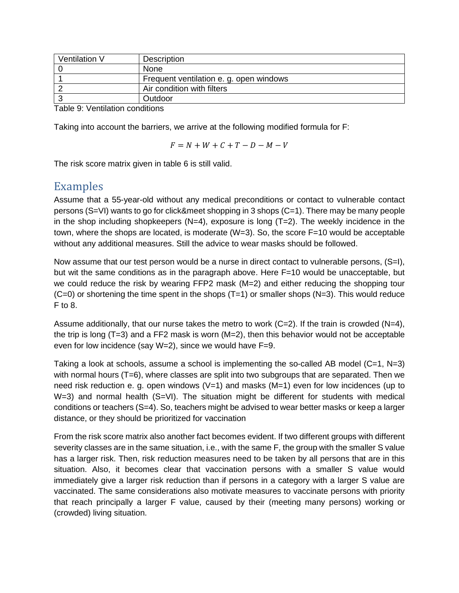| Ventilation V                            | Description                             |
|------------------------------------------|-----------------------------------------|
|                                          | <b>None</b>                             |
|                                          | Frequent ventilation e. g. open windows |
|                                          | Air condition with filters              |
|                                          | Outdoor                                 |
| $\tau$ is a state of the state of $\tau$ |                                         |

Table 9: Ventilation conditions

Taking into account the barriers, we arrive at the following modified formula for F:

$$
F = N + W + C + T - D - M - V
$$

The risk score matrix given in table 6 is still valid.

#### Examples

Assume that a 55-year-old without any medical preconditions or contact to vulnerable contact persons (S=VI) wants to go for click&meet shopping in 3 shops (C=1). There may be many people in the shop including shopkeepers ( $N=4$ ), exposure is long ( $T=2$ ). The weekly incidence in the town, where the shops are located, is moderate  $(W=3)$ . So, the score  $F=10$  would be acceptable without any additional measures. Still the advice to wear masks should be followed.

Now assume that our test person would be a nurse in direct contact to vulnerable persons, (S=I), but wit the same conditions as in the paragraph above. Here F=10 would be unacceptable, but we could reduce the risk by wearing FFP2 mask (M=2) and either reducing the shopping tour  $(C=0)$  or shortening the time spent in the shops  $(T=1)$  or smaller shops  $(N=3)$ . This would reduce F to 8.

Assume additionally, that our nurse takes the metro to work  $(C=2)$ . If the train is crowded  $(N=4)$ , the trip is long (T=3) and a FF2 mask is worn  $(M=2)$ , then this behavior would not be acceptable even for low incidence (say W=2), since we would have F=9.

Taking a look at schools, assume a school is implementing the so-called AB model  $(C=1, N=3)$ with normal hours (T=6), where classes are split into two subgroups that are separated. Then we need risk reduction e. g. open windows  $(V=1)$  and masks  $(M=1)$  even for low incidences (up to  $W=3$ ) and normal health  $(S=V)$ . The situation might be different for students with medical conditions or teachers (S=4). So, teachers might be advised to wear better masks or keep a larger distance, or they should be prioritized for vaccination

From the risk score matrix also another fact becomes evident. If two different groups with different severity classes are in the same situation, i.e., with the same F, the group with the smaller S value has a larger risk. Then, risk reduction measures need to be taken by all persons that are in this situation. Also, it becomes clear that vaccination persons with a smaller S value would immediately give a larger risk reduction than if persons in a category with a larger S value are vaccinated. The same considerations also motivate measures to vaccinate persons with priority that reach principally a larger F value, caused by their (meeting many persons) working or (crowded) living situation.